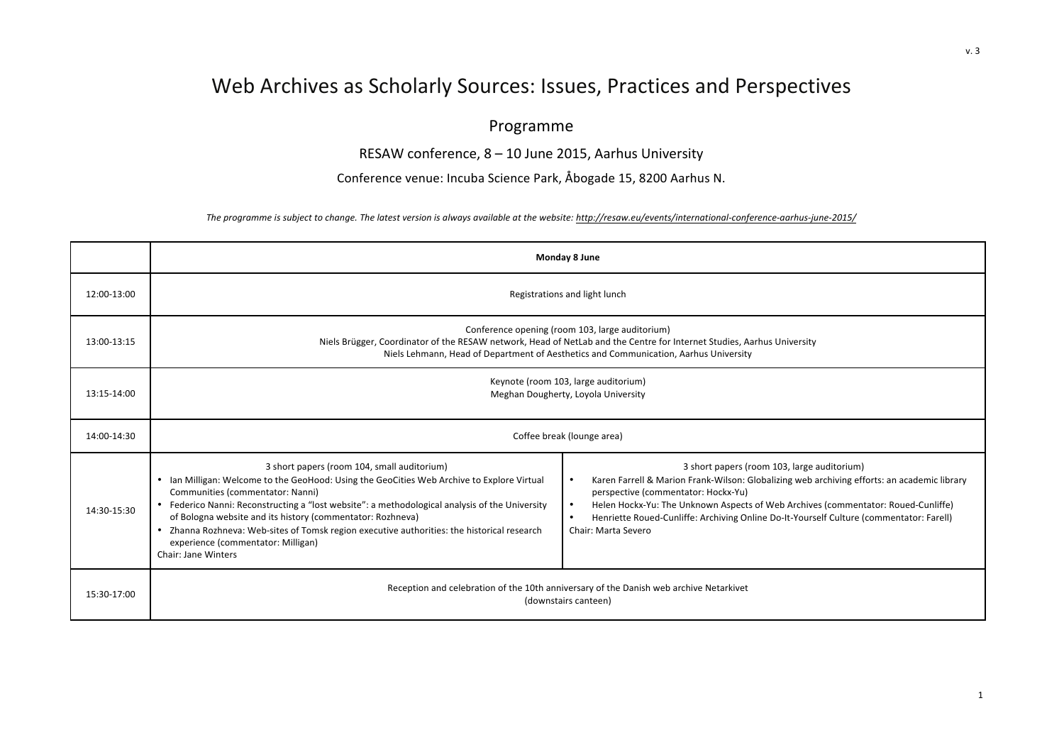## Web Archives as Scholarly Sources: Issues, Practices and Perspectives

## Programme

RESAW conference,  $8 - 10$  June 2015, Aarhus University

Conference venue: Incuba Science Park, Åbogade 15, 8200 Aarhus N.

The programme is subject to change. The latest version is always available at the website: http://resaw.eu/events/international-conference-aarhus-june-2015/

|             | Monday 8 June                                                                                                                                                                                                                                                                                                                                                                                                                                                                                                    |                                                                                                                                                                                                                                                                                                                                                                                          |  |
|-------------|------------------------------------------------------------------------------------------------------------------------------------------------------------------------------------------------------------------------------------------------------------------------------------------------------------------------------------------------------------------------------------------------------------------------------------------------------------------------------------------------------------------|------------------------------------------------------------------------------------------------------------------------------------------------------------------------------------------------------------------------------------------------------------------------------------------------------------------------------------------------------------------------------------------|--|
| 12:00-13:00 | Registrations and light lunch                                                                                                                                                                                                                                                                                                                                                                                                                                                                                    |                                                                                                                                                                                                                                                                                                                                                                                          |  |
| 13:00-13:15 | Conference opening (room 103, large auditorium)<br>Niels Brügger, Coordinator of the RESAW network, Head of NetLab and the Centre for Internet Studies, Aarhus University<br>Niels Lehmann, Head of Department of Aesthetics and Communication, Aarhus University                                                                                                                                                                                                                                                |                                                                                                                                                                                                                                                                                                                                                                                          |  |
| 13:15-14:00 | Keynote (room 103, large auditorium)<br>Meghan Dougherty, Loyola University                                                                                                                                                                                                                                                                                                                                                                                                                                      |                                                                                                                                                                                                                                                                                                                                                                                          |  |
| 14:00-14:30 | Coffee break (lounge area)                                                                                                                                                                                                                                                                                                                                                                                                                                                                                       |                                                                                                                                                                                                                                                                                                                                                                                          |  |
| 14:30-15:30 | 3 short papers (room 104, small auditorium)<br>• Ian Milligan: Welcome to the GeoHood: Using the GeoCities Web Archive to Explore Virtual<br>Communities (commentator: Nanni)<br>• Federico Nanni: Reconstructing a "lost website": a methodological analysis of the University<br>of Bologna website and its history (commentator: Rozhneva)<br>• Zhanna Rozhneva: Web-sites of Tomsk region executive authorities: the historical research<br>experience (commentator: Milligan)<br><b>Chair: Jane Winters</b> | 3 short papers (room 103, large auditorium)<br>Karen Farrell & Marion Frank-Wilson: Globalizing web archiving efforts: an academic library<br>perspective (commentator: Hockx-Yu)<br>Helen Hockx-Yu: The Unknown Aspects of Web Archives (commentator: Roued-Cunliffe)<br>Henriette Roued-Cunliffe: Archiving Online Do-It-Yourself Culture (commentator: Farell)<br>Chair: Marta Severo |  |
| 15:30-17:00 | Reception and celebration of the 10th anniversary of the Danish web archive Netarkivet<br>(downstairs canteen)                                                                                                                                                                                                                                                                                                                                                                                                   |                                                                                                                                                                                                                                                                                                                                                                                          |  |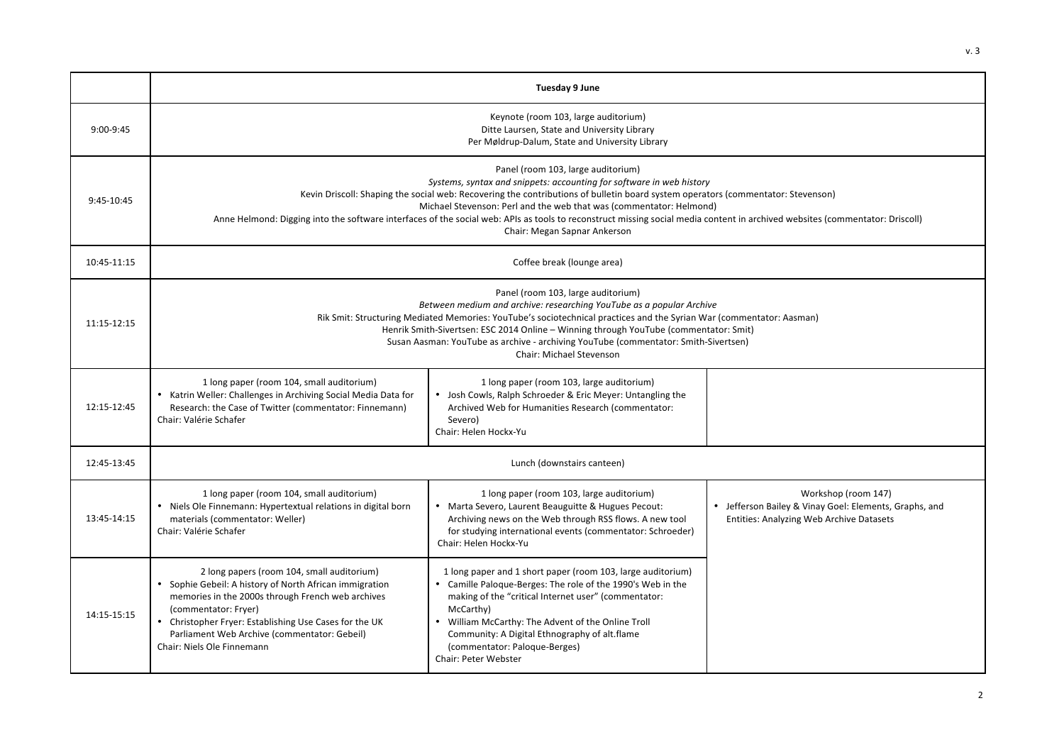|             | Tuesday 9 June                                                                                                                                                                                                                                                                                                                                                                                                                                                                                                                        |                                                                                                                                                                                                                                                                                                                                                                      |                                                                                                                           |
|-------------|---------------------------------------------------------------------------------------------------------------------------------------------------------------------------------------------------------------------------------------------------------------------------------------------------------------------------------------------------------------------------------------------------------------------------------------------------------------------------------------------------------------------------------------|----------------------------------------------------------------------------------------------------------------------------------------------------------------------------------------------------------------------------------------------------------------------------------------------------------------------------------------------------------------------|---------------------------------------------------------------------------------------------------------------------------|
| $9:00-9:45$ | Keynote (room 103, large auditorium)<br>Ditte Laursen, State and University Library<br>Per Møldrup-Dalum, State and University Library                                                                                                                                                                                                                                                                                                                                                                                                |                                                                                                                                                                                                                                                                                                                                                                      |                                                                                                                           |
| 9:45-10:45  | Panel (room 103, large auditorium)<br>Systems, syntax and snippets: accounting for software in web history<br>Kevin Driscoll: Shaping the social web: Recovering the contributions of bulletin board system operators (commentator: Stevenson)<br>Michael Stevenson: Perl and the web that was (commentator: Helmond)<br>Anne Helmond: Digging into the software interfaces of the social web: APIs as tools to reconstruct missing social media content in archived websites (commentator: Driscoll)<br>Chair: Megan Sapnar Ankerson |                                                                                                                                                                                                                                                                                                                                                                      |                                                                                                                           |
| 10:45-11:15 | Coffee break (lounge area)                                                                                                                                                                                                                                                                                                                                                                                                                                                                                                            |                                                                                                                                                                                                                                                                                                                                                                      |                                                                                                                           |
| 11:15-12:15 | Panel (room 103, large auditorium)<br>Between medium and archive: researching YouTube as a popular Archive<br>Rik Smit: Structuring Mediated Memories: YouTube's sociotechnical practices and the Syrian War (commentator: Aasman)<br>Henrik Smith-Sivertsen: ESC 2014 Online - Winning through YouTube (commentator: Smit)<br>Susan Aasman: YouTube as archive - archiving YouTube (commentator: Smith-Sivertsen)<br>Chair: Michael Stevenson                                                                                        |                                                                                                                                                                                                                                                                                                                                                                      |                                                                                                                           |
| 12:15-12:45 | 1 long paper (room 104, small auditorium)<br>• Katrin Weller: Challenges in Archiving Social Media Data for<br>Research: the Case of Twitter (commentator: Finnemann)<br>Chair: Valérie Schafer                                                                                                                                                                                                                                                                                                                                       | 1 long paper (room 103, large auditorium)<br>• Josh Cowls, Ralph Schroeder & Eric Meyer: Untangling the<br>Archived Web for Humanities Research (commentator:<br>Severo)<br>Chair: Helen Hockx-Yu                                                                                                                                                                    |                                                                                                                           |
| 12:45-13:45 | Lunch (downstairs canteen)                                                                                                                                                                                                                                                                                                                                                                                                                                                                                                            |                                                                                                                                                                                                                                                                                                                                                                      |                                                                                                                           |
| 13:45-14:15 | 1 long paper (room 104, small auditorium)<br>• Niels Ole Finnemann: Hypertextual relations in digital born<br>materials (commentator: Weller)<br>Chair: Valérie Schafer                                                                                                                                                                                                                                                                                                                                                               | 1 long paper (room 103, large auditorium)<br>• Marta Severo, Laurent Beauguitte & Hugues Pecout:<br>Archiving news on the Web through RSS flows. A new tool<br>for studying international events (commentator: Schroeder)<br>Chair: Helen Hockx-Yu                                                                                                                   | Workshop (room 147)<br>• Jefferson Bailey & Vinay Goel: Elements, Graphs, and<br>Entities: Analyzing Web Archive Datasets |
| 14:15-15:15 | 2 long papers (room 104, small auditorium)<br>Sophie Gebeil: A history of North African immigration<br>memories in the 2000s through French web archives<br>(commentator: Fryer)<br>• Christopher Fryer: Establishing Use Cases for the UK<br>Parliament Web Archive (commentator: Gebeil)<br>Chair: Niels Ole Finnemann                                                                                                                                                                                                              | 1 long paper and 1 short paper (room 103, large auditorium)<br>Camille Paloque-Berges: The role of the 1990's Web in the<br>making of the "critical Internet user" (commentator:<br>McCarthy)<br>. William McCarthy: The Advent of the Online Troll<br>Community: A Digital Ethnography of alt.flame<br>(commentator: Paloque-Berges)<br><b>Chair: Peter Webster</b> |                                                                                                                           |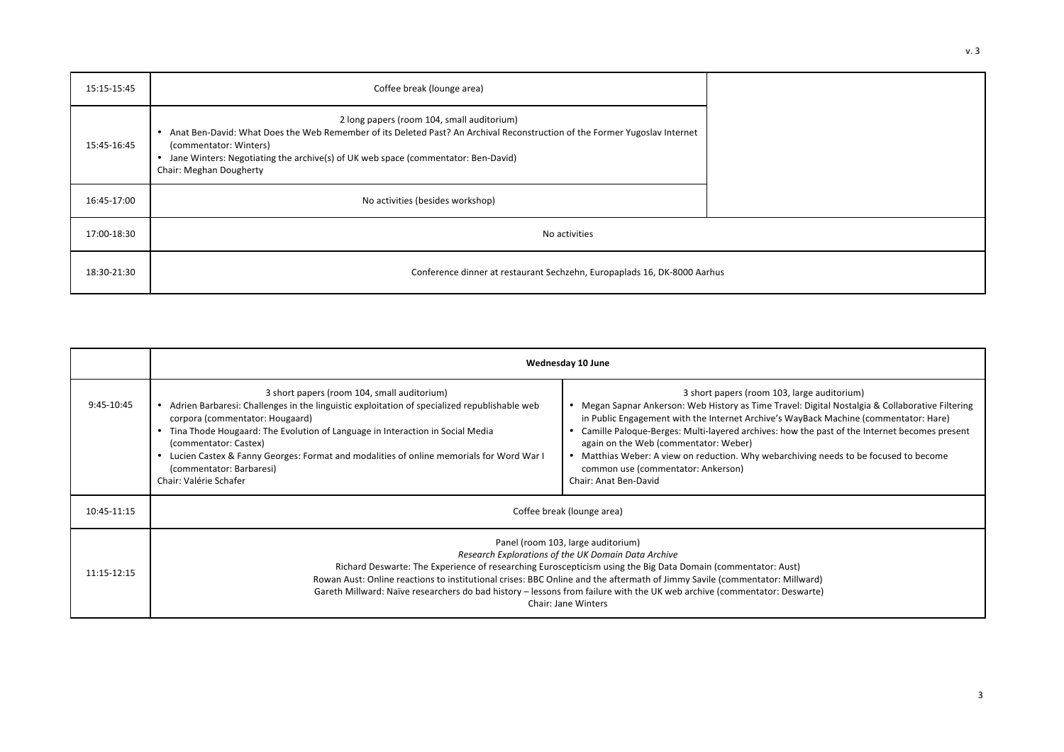| 15:15-15:45 | Coffee break (lounge area)                                                                                                                                                                                                                                                                                                        |  |
|-------------|-----------------------------------------------------------------------------------------------------------------------------------------------------------------------------------------------------------------------------------------------------------------------------------------------------------------------------------|--|
| 15:45-16:45 | 2 long papers (room 104, small auditorium)<br>Anat Ben-David: What Does the Web Remember of its Deleted Past? An Archival Reconstruction of the Former Yugoslav Internet<br>$\bullet$<br>(commentator: Winters)<br>• Jane Winters: Negotiating the archive(s) of UK web space (commentator: Ben-David)<br>Chair: Meghan Dougherty |  |
| 16:45-17:00 | No activities (besides workshop)                                                                                                                                                                                                                                                                                                  |  |
| 17:00-18:30 | No activities                                                                                                                                                                                                                                                                                                                     |  |
| 18:30-21:30 | Conference dinner at restaurant Sechzehn, Europaplads 16, DK-8000 Aarhus                                                                                                                                                                                                                                                          |  |

|             | Wednesday 10 June                                                                                                                                                                                                                                                                                                                                                                                                                                                                                 |                                                                                                                                                                                                                                                                                                                                                                                                                                                                                                                                          |  |
|-------------|---------------------------------------------------------------------------------------------------------------------------------------------------------------------------------------------------------------------------------------------------------------------------------------------------------------------------------------------------------------------------------------------------------------------------------------------------------------------------------------------------|------------------------------------------------------------------------------------------------------------------------------------------------------------------------------------------------------------------------------------------------------------------------------------------------------------------------------------------------------------------------------------------------------------------------------------------------------------------------------------------------------------------------------------------|--|
| 9:45-10:45  | 3 short papers (room 104, small auditorium)<br>• Adrien Barbaresi: Challenges in the linguistic exploitation of specialized republishable web<br>corpora (commentator: Hougaard)<br>• Tina Thode Hougaard: The Evolution of Language in Interaction in Social Media<br>(commentator: Castex)<br>Lucien Castex & Fanny Georges: Format and modalities of online memorials for Word War I<br>(commentator: Barbaresi)<br>Chair: Valérie Schafer                                                     | 3 short papers (room 103, large auditorium)<br>• Megan Sapnar Ankerson: Web History as Time Travel: Digital Nostalgia & Collaborative Filtering<br>in Public Engagement with the Internet Archive's WayBack Machine (commentator: Hare)<br>Camille Paloque-Berges: Multi-layered archives: how the past of the Internet becomes present<br>again on the Web (commentator: Weber)<br>• Matthias Weber: A view on reduction. Why webarchiving needs to be focused to become<br>common use (commentator: Ankerson)<br>Chair: Anat Ben-David |  |
| 10:45-11:15 | Coffee break (lounge area)                                                                                                                                                                                                                                                                                                                                                                                                                                                                        |                                                                                                                                                                                                                                                                                                                                                                                                                                                                                                                                          |  |
| 11:15-12:15 | Panel (room 103, large auditorium)<br>Research Explorations of the UK Domain Data Archive<br>Richard Deswarte: The Experience of researching Euroscepticism using the Big Data Domain (commentator: Aust)<br>Rowan Aust: Online reactions to institutional crises: BBC Online and the aftermath of Jimmy Savile (commentator: Millward)<br>Gareth Millward: Naïve researchers do bad history - lessons from failure with the UK web archive (commentator: Deswarte)<br><b>Chair: Jane Winters</b> |                                                                                                                                                                                                                                                                                                                                                                                                                                                                                                                                          |  |